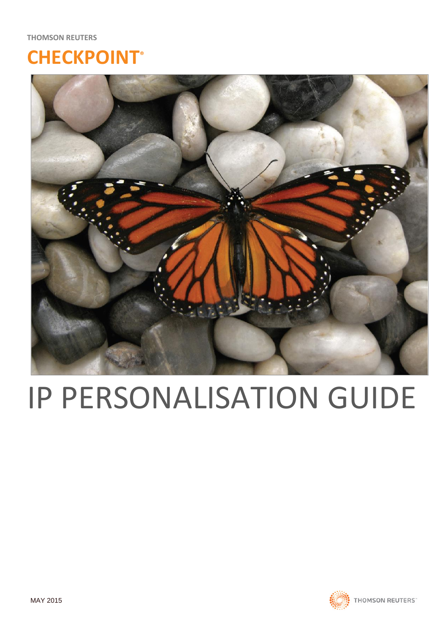## **CHECKPOINT®**



# IP PERSONALISATION GUIDE

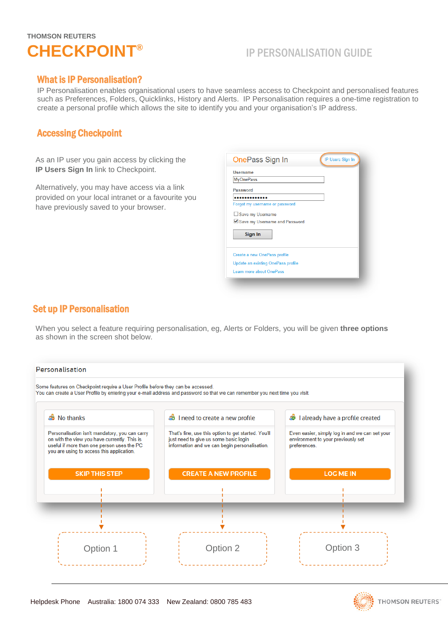

## IP PERSONALISATION GUIDE

#### What is IP Personalisation?

IP Personalisation enables organisational users to have seamless access to Checkpoint and personalised features such as Preferences, Folders, Quicklinks, History and Alerts. IP Personalisation requires a one-time registration to create a personal profile which allows the site to identify you and your organisation's IP address.

#### Accessing Checkpoint

As an IP user you gain access by clicking the **IP Users Sign In** link to Checkpoint.

Alternatively, you may have access via a link provided on your local intranet or a favourite you have previously saved to your browser.

| OnePass Sign In                    | IP Users Sign In |
|------------------------------------|------------------|
| Username                           |                  |
| <b>MyOnePass</b>                   |                  |
| Password                           |                  |
|                                    |                  |
| Forgot my username or password     |                  |
| Save my Username                   |                  |
| Save my Username and Password      |                  |
| Sign In                            |                  |
| Create a new OnePass profile       |                  |
| Update an existing OnePass profile |                  |
| Learn more about OnePass           |                  |

### Set up IP Personalisation

j

When you select a feature requiring personalisation, eg, Alerts or Folders, you will be given **three options** as shown in the screen shot below.

| Personalisation                                                                                                                                                                           |                                                                                                                                               |                                                                                                      |
|-------------------------------------------------------------------------------------------------------------------------------------------------------------------------------------------|-----------------------------------------------------------------------------------------------------------------------------------------------|------------------------------------------------------------------------------------------------------|
| Some features on Checkpoint require a User Profile before they can be accessed.                                                                                                           | You can create a User Profile by entering your e-mail address and password so that we can remember you next time you visit.                   |                                                                                                      |
| <b>B</b> No thanks                                                                                                                                                                        | <b>3</b> I need to create a new profile                                                                                                       | I already have a profile created<br>Ð                                                                |
| Personalisation isn't mandatory, you can carry<br>on with the view you have currently. This is<br>useful if more than one person uses the PC<br>you are using to access this application. | That's fine, use this option to get started. You'll<br>just need to give us some basic login<br>information and we can begin personalisation. | Even easier, simply log in and we can set your<br>environment to your previously set<br>preferences. |
| <b>SKIP THIS STEP</b>                                                                                                                                                                     | <b>CREATE A NEW PROFILE</b>                                                                                                                   | <b>LOG ME IN</b>                                                                                     |
|                                                                                                                                                                                           |                                                                                                                                               |                                                                                                      |
|                                                                                                                                                                                           |                                                                                                                                               |                                                                                                      |
|                                                                                                                                                                                           |                                                                                                                                               |                                                                                                      |
| Option 1                                                                                                                                                                                  | Option 2                                                                                                                                      | Option 3                                                                                             |

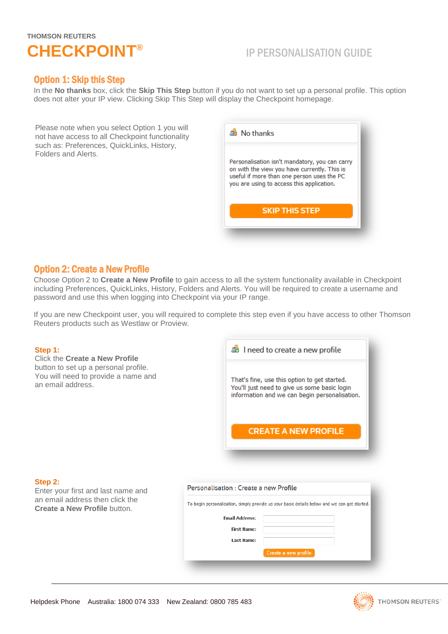

## IP PERSONALISATION GUIDE

#### Option 1: Skip this Step

In the **No thanks** box, click the **Skip This Step** button if you do not want to set up a personal profile. This option does not alter your IP view. Clicking Skip This Step will display the Checkpoint homepage.

Please note when you select Option 1 you will not have access to all Checkpoint functionality such as: Preferences, QuickLinks, History, Folders and Alerts.



#### Option 2: Create a New Profile

Choose Option 2 to **Create a New Profile** to gain access to all the system functionality available in Checkpoint including Preferences, QuickLinks, History, Folders and Alerts. You will be required to create a username and password and use this when logging into Checkpoint via your IP range.

If you are new Checkpoint user, you will required to complete this step even if you have access to other Thomson Reuters products such as Westlaw or Proview.

#### **Step 1:**

Click the **Create a New Profile** button to set up a personal profile. You will need to provide a name and an email address.



#### **Step 2:**

Enter your first and last name and an email address then click the **Create a New Profile** button.

| Personalisation : Create a new Profile<br>To begin personalisation, simply provide us your basic details below and we can get started. |                      |  |
|----------------------------------------------------------------------------------------------------------------------------------------|----------------------|--|
|                                                                                                                                        |                      |  |
| <b>First Name:</b>                                                                                                                     |                      |  |
| <b>Last Name:</b>                                                                                                                      |                      |  |
|                                                                                                                                        | Create a new profile |  |
|                                                                                                                                        |                      |  |

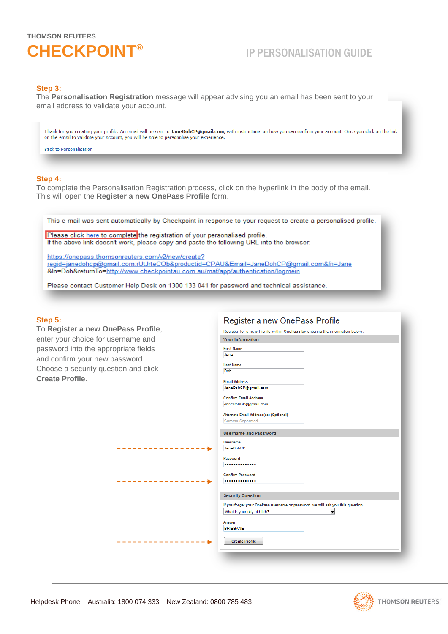

## IP PERSONALISATION GUIDE

#### **Step 3:**

The **Personalisation Registration** message will appear advising you an email has been sent to your email address to validate your account.

Thank for you creating your profile. An email will be sent to JaneDohCP@qmail.com, with instructions on how you can confirm your account. Once you click on the link on the email to validate your account, you will be able to personalise your experience.

**Back to Personalisation** 

#### **Step 4:**

To complete the Personalisation Registration process, click on the hyperlink in the body of the email. This will open the **Register a new OnePass Profile** form.

This e-mail was sent automatically by Checkpoint in response to your request to create a personalised profile.

Please click here to complete the registration of your personalised profile. If the above link doesn't work, please copy and paste the following URL into the browser:

https://onepass.thomsonreuters.com/v2/new/create? regid=janedohcp@gmail.com:rUtJrteCOb&productid=CPAU&Email=JaneDohCP@gmail.com&fn=Jane &In=Doh&returnTo=http://www.checkpointau.com.au/maf/app/authentication/logmein

Please contact Customer Help Desk on 1300 133 041 for password and technical assistance.

#### **Step 5:**

**To Register a new OnePass Pro** enter your choice for username a password into the appropriate fie and confirm your new password. Choose a security question and o **Create Profile**.

|                           | Register a new OnePass Profile                                                 |
|---------------------------|--------------------------------------------------------------------------------|
| Pass Profile,             | Register for a new Profile within OnePass by entering the information below.   |
| ername and                | <b>Your Information</b>                                                        |
| priate fields<br>เรรword. | <b>First Name</b><br>Jane<br><b>Last Name</b>                                  |
| ion and click             | Doh                                                                            |
|                           | <b>Email Address</b><br>JaneDohCP@gmail.com                                    |
|                           | <b>Confirm Email Address</b>                                                   |
|                           | JaneDohCP@gmail.com                                                            |
|                           | Alternate Email Address(es) (Optional)                                         |
|                           | Comma Separated                                                                |
|                           | <b>Username and Password</b>                                                   |
|                           | <b>Username</b><br>JaneDohCP                                                   |
|                           | Password                                                                       |
|                           |                                                                                |
|                           | <b>Confirm Password</b>                                                        |
|                           |                                                                                |
|                           | <b>Security Question</b>                                                       |
|                           | If you forget your OnePass username or password, we will ask you this question |
|                           | ▾<br>What is your city of birth?                                               |
|                           | Answer                                                                         |
|                           | <b>BRISBANE</b>                                                                |
|                           | <b>Create Profile</b>                                                          |
|                           |                                                                                |



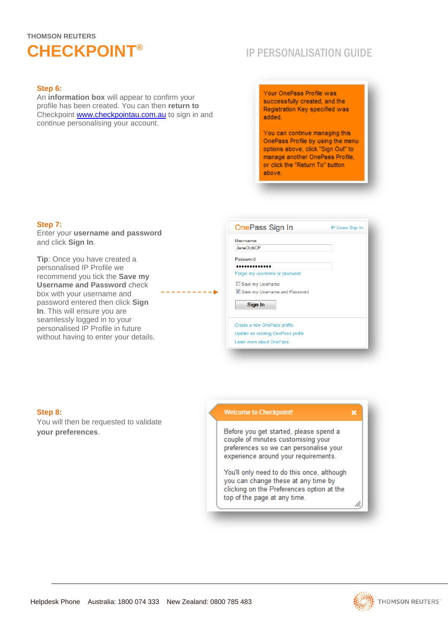## **THOMSON REUTERS CHECKPOINT®**

## IP PERSONALISATION GUIDE

#### **Step 6:**

An **information box** will appear to confirm your profile has been created. You can then **return to** Checkpoint [www.checkpointau.com.au](http://www.checkpointau.com.au/) to sign in and continue personalising your account.

Your OnePass Profile was successfully created, and the Registration Key specified was added

You can continue managing this OnePass Profile by using the menu options above, click "Sign Out" to manage another OnePass Profile, or click the "Return To" button above

#### **Step 7:**

Enter your **username and password** and click **Sign In**.

**Tip**: Once you have created a personalised IP Profile we recommend you tick the **Save my Username and Password** check box with your username and password entered then click **Sign In**. This will ensure you are seamlessly logged in to your personalised IP Profile in future without having to enter your details.

| <b>Username</b>                |  |
|--------------------------------|--|
| <b>JaneDohCP</b>               |  |
| Password                       |  |
|                                |  |
| Forgot my username or password |  |
| Save my Username               |  |
| Save my Username and Password  |  |
| Sign In                        |  |

**Step 8:**

You will then be requested to validate **your preferences**.

#### **Welcome to Checkpoint!**

Learn more about OnePass

Before you get started, please spend a couple of minutes customising your preferences so we can personalise your experience around your requirements.

You'll only need to do this once, although you can change these at any time by clicking on the Preferences option at the top of the page at any time.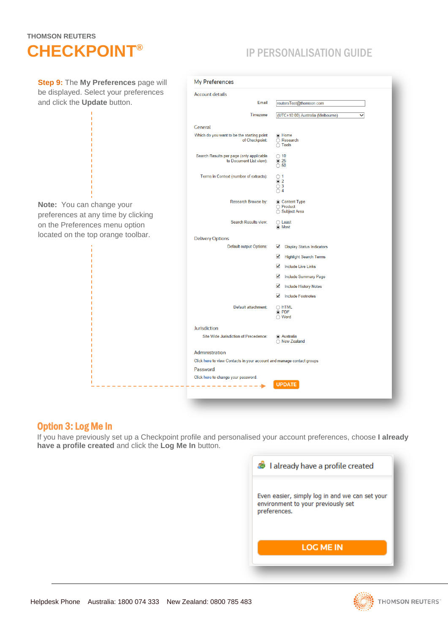## **THOMSON REUTERS CHECKPOINT®**

## IP PERSONALISATION GUIDE

| Step 9: The My Preferences page will                             | My Preferences                                                        |                                                        |  |
|------------------------------------------------------------------|-----------------------------------------------------------------------|--------------------------------------------------------|--|
| be displayed. Select your preferences                            | <b>Account details</b>                                                |                                                        |  |
| and click the Update button.                                     | Email                                                                 | reutersTest@thomson.com                                |  |
|                                                                  | Timezone                                                              | (UTC+10:00) Australia (Melbourne)<br>$\checkmark$      |  |
|                                                                  | General                                                               |                                                        |  |
|                                                                  | Which do you want to be the starting point<br>of Checkpoint:          | (a) Home<br>◯ Research<br>◯ Tools                      |  |
|                                                                  | Search Results per page (only applicable<br>to Document List view):   | $\bigcirc$ 10<br>◉ 25<br>$\overline{O}$ 50             |  |
|                                                                  | Terms in Context (number of extracts):                                | $\bigcirc$ 1<br>$\odot$ 2<br>$\bigcirc$ 3<br>$\odot$ 4 |  |
| Note: You can change your<br>preferences at any time by clicking | Research Browse by:                                                   | Content Type<br>◯ Product<br>◯ Subject Area            |  |
| on the Preferences menu option                                   | Search Results view:                                                  | $\bigcirc$ Least<br>O Most                             |  |
| located on the top orange toolbar.                               | <b>Delivery Options</b>                                               |                                                        |  |
|                                                                  | <b>Default output Options:</b>                                        | ✔<br><b>Display Status Indicators</b>                  |  |
|                                                                  |                                                                       | ✔<br><b>Highlight Search Terms</b>                     |  |
|                                                                  |                                                                       | ✔<br><b>Include Live Links</b>                         |  |
|                                                                  |                                                                       | ✔<br><b>Include Summary Page</b>                       |  |
|                                                                  |                                                                       | ✔<br><b>Include History Notes</b>                      |  |
|                                                                  |                                                                       | <b>Include Footnotes</b><br>✔                          |  |
|                                                                  | Default attachment:                                                   | $\bigcirc$ HTML<br>O PDF<br>◯ Word                     |  |
|                                                                  | Jurisdiction                                                          |                                                        |  |
|                                                                  | Site Wide Jurisdiction of Precedence:                                 | a Australia<br>◯ New Zealand                           |  |
|                                                                  | Administration                                                        |                                                        |  |
|                                                                  | Click here to view Contacts in your account and manage contact groups |                                                        |  |
|                                                                  | Password                                                              |                                                        |  |
|                                                                  | Click here to change your password.                                   |                                                        |  |
|                                                                  |                                                                       | <b>UPDATE</b>                                          |  |
|                                                                  |                                                                       |                                                        |  |

## Option 3: Log Me In

If you have previously set up a Checkpoint profile and personalised your account preferences, choose **I already have a profile created** and click the **Log Me In** button.